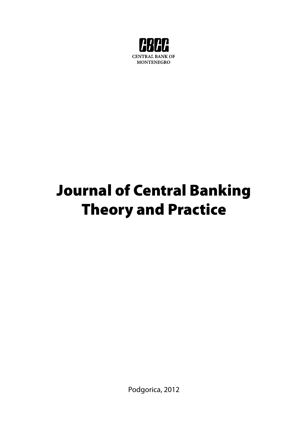

# Journal of Central Banking Theory and Practice

Podgorica, 2012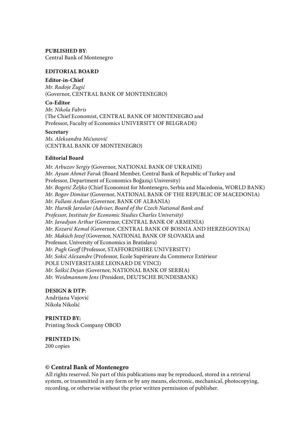#### **PUBLISHED BY**:

Central Bank of Montenegro

#### **EDITORIAL BOARD**

#### **Editor-in-Chief**

*Mr. Radoje Žugić*  (Governor, CENTRAL BANK OF MONTENEGRO)

#### **Co-Editor**

*Mr. Nikola Fabris* (The Chief Economist, CENTRAL BANK OF MONTENEGRO and Professor, Faculty of Economics UNIVERSITY OF BELGRADE)

#### **Secretary**

*Ms. Aleksandra Mićunović*  (CENTRAL BANK OF MONTENEGRO)

#### **Editorial Board**

*Mr. Arbuzov Sergiy* (Governor, NATIONAL BANK OF UKRAINE) *Mr. Aysan Ahmet Faruk* (Board Member, Central Bank of Republic of Turkey and Professor, Department of Economics Boğaziçi University) *Mr. Bogetić Željko* (Chief Economist for Montenegro, Serbia and Macedonia, WORLD BANK) *Mr. Bogov Dimitar* (Governor, NATIONAL BANK OF THE REPUBLIC OF MACEDONIA) *Mr. Fullani Ardian* (Governor, BANK OF ALBANIA) *Mr. Hurnìk Jaroslav (Adviser, Board of the Czech National Bank and Professor, Institute for Economic Studies Charles University) Mr. Javadyan Arthur* (Governor, CENTRAL BANK OF ARMENIA) *Mr. Kozarić Kemal* (Governor, CENTRAL BANK OF BOSNIA AND HERZEGOVINA) *Mr. Makúch Jozef* (Governor, NATIONAL BANK OF SLOVAKIA and Professor, University of Economics in Bratislava) *Mr. Pugh Geoff* (Professor, STAFFORDSHIRE UNIVERSITY) *Mr. Sokić Alexandre* (Professor, Ecole Supérieure du Commerce Extérieur POLE UNIVERSITAIRE LEONARD DE VINCI) *Mr. Šoškić Dejan* (Governor, NATIONAL BANK OF SERBIA) *Mr. Weidmannom Jens* (President, DEUTSCHE BUNDESBANK)

#### **DESIGN & DTP:**

Andrijana Vujović Nikola Nikolić

### **PRINTED BY:**

Printing Stock Company OBOD

**PRINTED IN:** 200 copies

#### **© Central Bank of Montenegro**

All rights reserved. No part of this publications may be reproduced, stored in a retrieval system, or transmitted in any form or by any means, electronic, mechanical, photocopying, recording, or otherwise without the prior written permission of publisher.